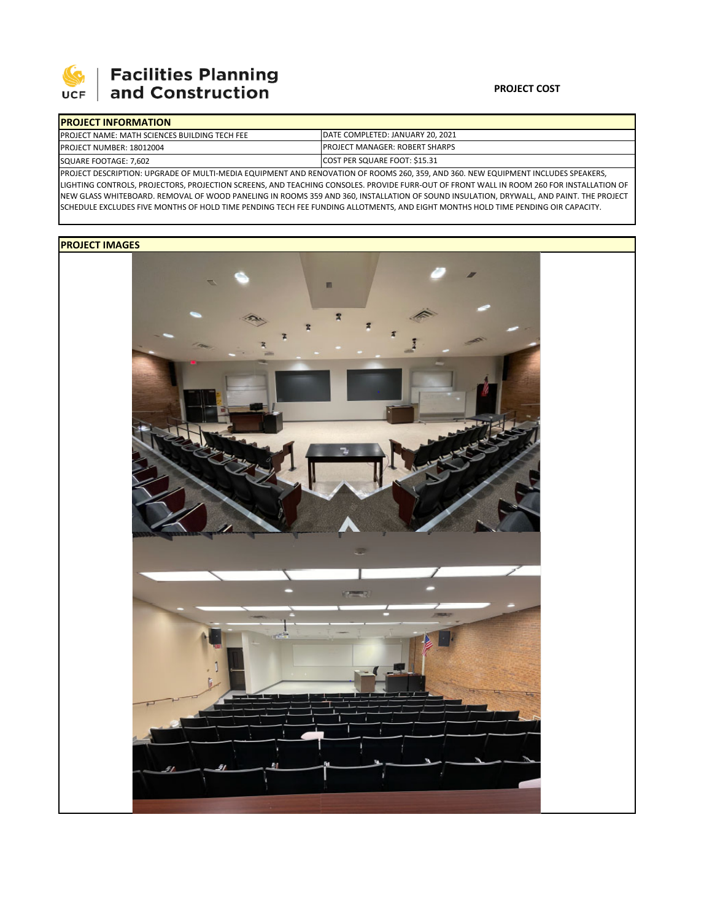

# **Facilities Planning<br>and Construction**

### **PROJECT COST**

| <b>IPROJECT INFORMATION</b>                           |                                          |
|-------------------------------------------------------|------------------------------------------|
| <b>IPROJECT NAME: MATH SCIENCES BUILDING TECH FEE</b> | <b>IDATE COMPLETED: JANUARY 20, 2021</b> |
| <b>PROJECT NUMBER: 18012004</b>                       | <b>IPROJECT MANAGER: ROBERT SHARPS</b>   |
| SQUARE FOOTAGE: 7,602                                 | COST PER SQUARE FOOT: \$15.31            |
|                                                       |                                          |

PROJECT DESCRIPTION: UPGRADE OF MULTI‐MEDIA EQUIPMENT AND RENOVATION OF ROOMS 260, 359, AND 360. NEW EQUIPMENT INCLUDES SPEAKERS, LIGHTING CONTROLS, PROJECTORS, PROJECTION SCREENS, AND TEACHING CONSOLES. PROVIDE FURR‐OUT OF FRONT WALL IN ROOM 260 FOR INSTALLATION OF NEW GLASS WHITEBOARD. REMOVAL OF WOOD PANELING IN ROOMS 359 AND 360, INSTALLATION OF SOUND INSULATION, DRYWALL, AND PAINT. THE PROJECT SCHEDULE EXCLUDES FIVE MONTHS OF HOLD TIME PENDING TECH FEE FUNDING ALLOTMENTS, AND EIGHT MONTHS HOLD TIME PENDING OIR CAPACITY.

## **PROJECT IMAGES**